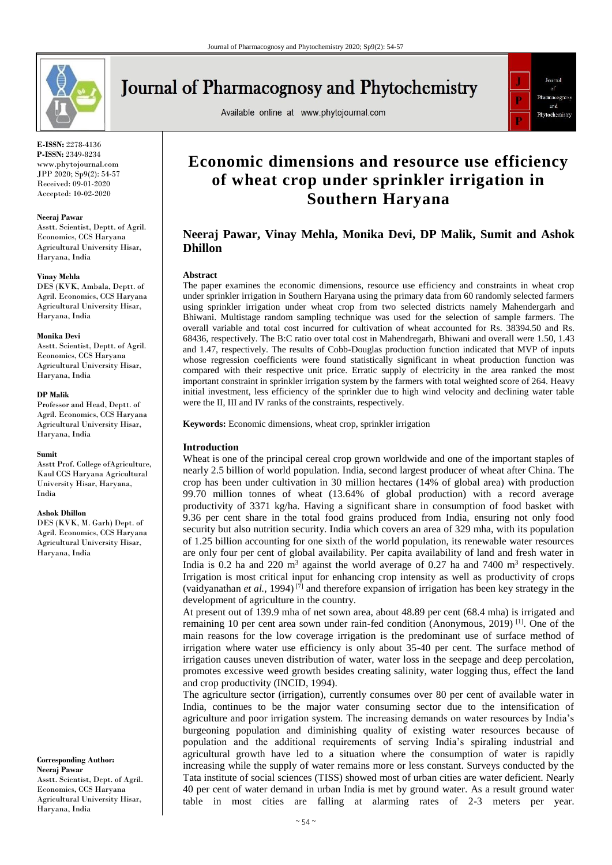

# **Journal of Pharmacognosy and Phytochemistry**

Available online at www.phytojournal.com



**E-ISSN:** 2278-4136 **P-ISSN:** 2349-8234 www.phytojournal.com JPP 2020; Sp9(2): 54-57 Received: 09-01-2020 Accepted: 10-02-2020

#### **Neeraj Pawar**

Asstt. Scientist, Deptt. of Agril. Economics, CCS Haryana Agricultural University Hisar, Haryana, India

#### **Vinay Mehla**

DES (KVK, Ambala, Deptt. of Agril. Economics, CCS Haryana Agricultural University Hisar, Haryana, India

#### **Monika Devi**

Asstt. Scientist, Deptt. of Agril. Economics, CCS Haryana Agricultural University Hisar, Haryana, India

#### **DP Malik**

Professor and Head, Deptt. of Agril. Economics, CCS Haryana Agricultural University Hisar, Haryana, India

#### **Sumit**

Asstt Prof. College ofAgriculture, Kaul CCS Haryana Agricultural University Hisar, Haryana, India

#### **Ashok Dhillon**

DES (KVK, M. Garh) Dept. of Agril. Economics, CCS Haryana Agricultural University Hisar, Haryana, India

**Corresponding Author: Neeraj Pawar** Asstt. Scientist, Dept. of Agril. Economics, CCS Haryana Agricultural University Hisar, Haryana, India

## **Economic dimensions and resource use efficiency of wheat crop under sprinkler irrigation in Southern Haryana**

### **Neeraj Pawar, Vinay Mehla, Monika Devi, DP Malik, Sumit and Ashok Dhillon**

#### **Abstract**

The paper examines the economic dimensions, resource use efficiency and constraints in wheat crop under sprinkler irrigation in Southern Haryana using the primary data from 60 randomly selected farmers using sprinkler irrigation under wheat crop from two selected districts namely Mahendergarh and Bhiwani. Multistage random sampling technique was used for the selection of sample farmers. The overall variable and total cost incurred for cultivation of wheat accounted for Rs. 38394.50 and Rs. 68436, respectively. The B:C ratio over total cost in Mahendregarh, Bhiwani and overall were 1.50, 1.43 and 1.47, respectively. The results of Cobb-Douglas production function indicated that MVP of inputs whose regression coefficients were found statistically significant in wheat production function was compared with their respective unit price. Erratic supply of electricity in the area ranked the most important constraint in sprinkler irrigation system by the farmers with total weighted score of 264. Heavy initial investment, less efficiency of the sprinkler due to high wind velocity and declining water table were the II, III and IV ranks of the constraints, respectively.

**Keywords:** Economic dimensions, wheat crop, sprinkler irrigation

#### **Introduction**

Wheat is one of the principal cereal crop grown worldwide and one of the important staples of nearly 2.5 billion of world population. India, second largest producer of wheat after China. The crop has been under cultivation in 30 million hectares (14% of global area) with production 99.70 million tonnes of wheat (13.64% of global production) with a record average productivity of 3371 kg/ha. Having a significant share in consumption of food basket with 9.36 per cent share in the total food grains produced from India, ensuring not only food security but also nutrition security. India which covers an area of 329 mha, with its population of 1.25 billion accounting for one sixth of the world population, its renewable water resources are only four per cent of global availability. Per capita availability of land and fresh water in India is 0.2 ha and 220 m<sup>3</sup> against the world average of 0.27 ha and 7400 m<sup>3</sup> respectively. Irrigation is most critical input for enhancing crop intensity as well as productivity of crops (vaidyanathan *et al.,* 1994) [7] and therefore expansion of irrigation has been key strategy in the development of agriculture in the country.

At present out of 139.9 mha of net sown area, about 48.89 per cent (68.4 mha) is irrigated and remaining 10 per cent area sown under rain-fed condition (Anonymous, 2019)<sup>[1]</sup>. One of the main reasons for the low coverage irrigation is the predominant use of surface method of irrigation where water use efficiency is only about 35-40 per cent. The surface method of irrigation causes uneven distribution of water, water loss in the seepage and deep percolation, promotes excessive weed growth besides creating salinity, water logging thus, effect the land and crop productivity (INCID, 1994).

The agriculture sector (irrigation), currently consumes over 80 per cent of available water in India, continues to be the major water consuming sector due to the intensification of agriculture and poor irrigation system. The increasing demands on water resources by India's burgeoning population and diminishing quality of existing water resources because of population and the additional requirements of serving India's spiraling industrial and agricultural growth have led to a situation where the consumption of water is rapidly increasing while the supply of water remains more or less constant. Surveys conducted by the Tata institute of social sciences (TISS) showed most of urban cities are water deficient. Nearly 40 per cent of water demand in urban India is met by ground water. As a result ground water table in most cities are falling at alarming rates of 2-3 meters per year.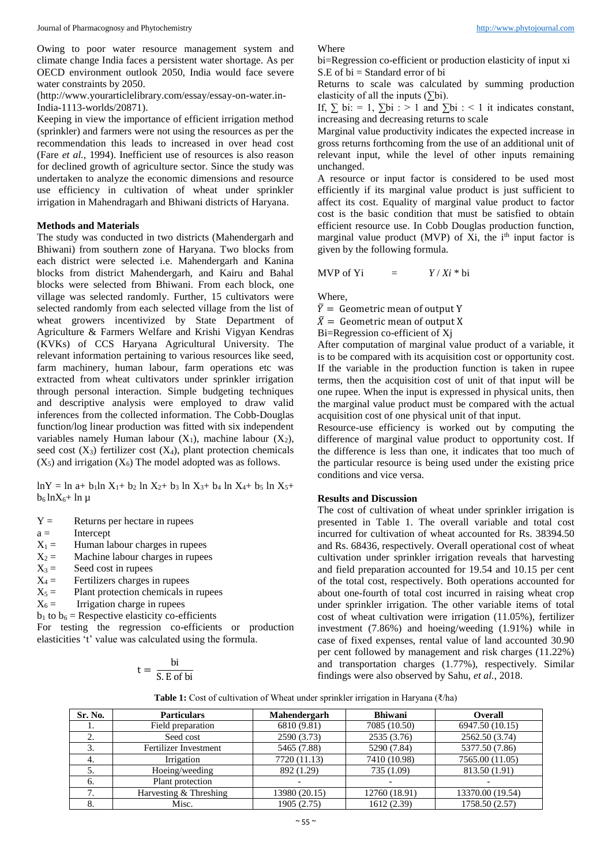Owing to poor water resource management system and climate change India faces a persistent water shortage. As per OECD environment outlook 2050, India would face severe water constraints by 2050.

(http://www.yourarticlelibrary.com/essay/essay-on-water.in-India-1113-worlds/20871).

Keeping in view the importance of efficient irrigation method (sprinkler) and farmers were not using the resources as per the recommendation this leads to increased in over head cost (Fare *et al.,* 1994). Inefficient use of resources is also reason for declined growth of agriculture sector. Since the study was undertaken to analyze the economic dimensions and resource use efficiency in cultivation of wheat under sprinkler irrigation in Mahendragarh and Bhiwani districts of Haryana.

#### **Methods and Materials**

The study was conducted in two districts (Mahendergarh and Bhiwani) from southern zone of Haryana. Two blocks from each district were selected i.e. Mahendergarh and Kanina blocks from district Mahendergarh, and Kairu and Bahal blocks were selected from Bhiwani. From each block, one village was selected randomly. Further, 15 cultivators were selected randomly from each selected village from the list of wheat growers incentivized by State Department of Agriculture & Farmers Welfare and Krishi Vigyan Kendras (KVKs) of CCS Haryana Agricultural University. The relevant information pertaining to various resources like seed, farm machinery, human labour, farm operations etc was extracted from wheat cultivators under sprinkler irrigation through personal interaction. Simple budgeting techniques and descriptive analysis were employed to draw valid inferences from the collected information. The Cobb-Douglas function/log linear production was fitted with six independent variables namely Human labour  $(X_1)$ , machine labour  $(X_2)$ , seed cost  $(X_3)$  fertilizer cost  $(X_4)$ , plant protection chemicals  $(X_5)$  and irrigation  $(X_6)$  The model adopted was as follows.

 $lnY = ln a + b_1 ln X_1 + b_2 ln X_2 + b_3 ln X_3 + b_4 ln X_4 + b_5 ln X_5 +$  $b_6 \ln X_6 + \ln \mu$ 

 $Y =$  Returns per hectare in rupees

 $a =$  Intercept

- $X_1 =$  Human labour charges in rupees
- $X_2 =$  Machine labour charges in rupees<br> $X_3 =$  Seed cost in rupees

Seed cost in rupees

- $X_4 =$  Fertilizers charges in rupees
- $X_5 =$  Plant protection chemicals in rupees<br> $X_6 =$  Irrigation charge in rupees

Irrigation charge in rupees

 $b_1$  to  $b_6$  = Respective elasticity co-efficients

For testing the regression co-efficients or production elasticities 't' value was calculated using the formula.

$$
t = \frac{bi}{S.E \text{ of bi}}
$$

Where

bi=Regression co-efficient or production elasticity of input xi S.E of bi = Standard error of bi

Returns to scale was calculated by summing production elasticity of all the inputs  $(\Sigma bi)$ .

If,  $\sum$  bi: = 1,  $\sum$  bi : > 1 and  $\sum$  bi : < 1 it indicates constant, increasing and decreasing returns to scale

Marginal value productivity indicates the expected increase in gross returns forthcoming from the use of an additional unit of relevant input, while the level of other inputs remaining unchanged.

A resource or input factor is considered to be used most efficiently if its marginal value product is just sufficient to affect its cost. Equality of marginal value product to factor cost is the basic condition that must be satisfied to obtain efficient resource use. In Cobb Douglas production function, marginal value product (MVP) of  $Xi$ , the i<sup>th</sup> input factor is given by the following formula.

$$
MVP \text{ of } Yi = Y/Xi * bi
$$

Where,

 $\overline{Y}$  = Geometric mean of output Y

 $\bar{X}$  = Geometric mean of output X

Bi=Regression co-efficient of Xj

After computation of marginal value product of a variable, it is to be compared with its acquisition cost or opportunity cost. If the variable in the production function is taken in rupee terms, then the acquisition cost of unit of that input will be one rupee. When the input is expressed in physical units, then the marginal value product must be compared with the actual acquisition cost of one physical unit of that input.

Resource-use efficiency is worked out by computing the difference of marginal value product to opportunity cost. If the difference is less than one, it indicates that too much of the particular resource is being used under the existing price conditions and vice versa.

#### **Results and Discussion**

The cost of cultivation of wheat under sprinkler irrigation is presented in Table 1. The overall variable and total cost incurred for cultivation of wheat accounted for Rs. 38394.50 and Rs. 68436, respectively. Overall operational cost of wheat cultivation under sprinkler irrigation reveals that harvesting and field preparation accounted for 19.54 and 10.15 per cent of the total cost, respectively. Both operations accounted for about one-fourth of total cost incurred in raising wheat crop under sprinkler irrigation. The other variable items of total cost of wheat cultivation were irrigation (11.05%), fertilizer investment (7.86%) and hoeing/weeding (1.91%) while in case of fixed expenses, rental value of land accounted 30.90 per cent followed by management and risk charges (11.22%) and transportation charges (1.77%), respectively. Similar findings were also observed by Sahu, *et al.,* 2018.

**Table 1:** Cost of cultivation of Wheat under sprinkler irrigation in Haryana (₹/ha)

| Sr. No.         | <b>Particulars</b>     | Mahendergarh  | <b>Bhiwani</b> | <b>Overall</b>   |
|-----------------|------------------------|---------------|----------------|------------------|
| 1.              | Field preparation      | 6810 (9.81)   | 7085 (10.50)   | 6947.50 (10.15)  |
| Ź.              | Seed cost              | 2590 (3.73)   | 2535 (3.76)    | 2562.50 (3.74)   |
|                 | Fertilizer Investment  | 5465 (7.88)   | 5290 (7.84)    | 5377.50 (7.86)   |
| -4.             | Irrigation             | 7720 (11.13)  | 7410 (10.98)   | 7565.00 (11.05)  |
|                 | Hoeing/weeding         | 892 (1.29)    | 735 (1.09)     | 813.50 (1.91)    |
| 6.              | Plant protection       |               |                |                  |
| 7<br>$\prime$ . | Harvesting & Threshing | 13980 (20.15) | 12760 (18.91)  | 13370.00 (19.54) |
| 8.              | Misc.                  | 1905 (2.75)   | 1612 (2.39)    | 1758.50 (2.57)   |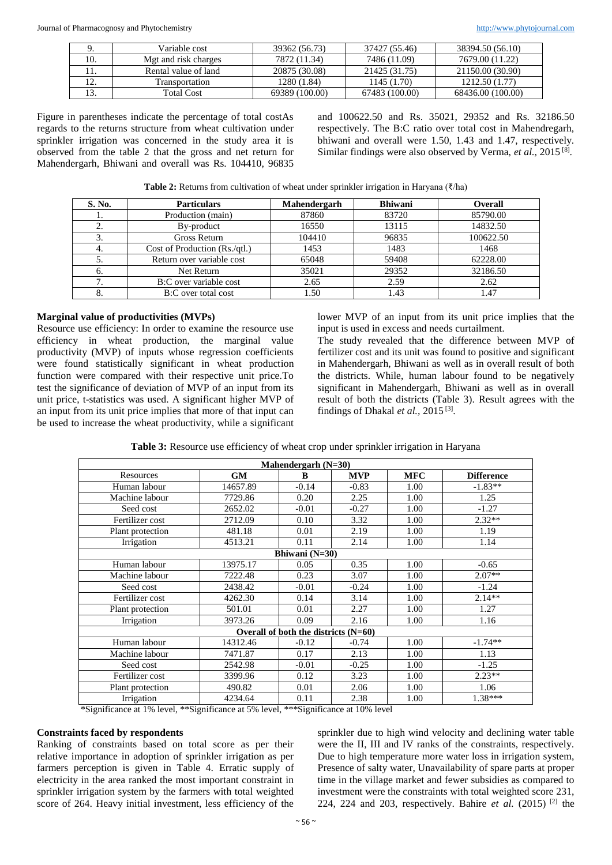|     | Variable cost        | 39362 (56.73)  | 37427 (55.46)  | 38394.50 (56.10)  |
|-----|----------------------|----------------|----------------|-------------------|
| 10. | Mgt and risk charges | 7872 (11.34)   | 7486 (11.09)   | 7679.00 (11.22)   |
|     | Rental value of land | 20875 (30.08)  | 21425 (31.75)  | 21150.00 (30.90)  |
|     | Transportation       | 1280 (1.84)    | 1145 (1.70)    | 1212.50 (1.77)    |
|     | <b>Total Cost</b>    | 69389 (100.00) | 67483 (100.00) | 68436.00 (100.00) |

Figure in parentheses indicate the percentage of total costAs regards to the returns structure from wheat cultivation under sprinkler irrigation was concerned in the study area it is observed from the table 2 that the gross and net return for Mahendergarh, Bhiwani and overall was Rs. 104410, 96835 and 100622.50 and Rs. 35021, 29352 and Rs. 32186.50 respectively. The B:C ratio over total cost in Mahendregarh, bhiwani and overall were 1.50, 1.43 and 1.47, respectively. Similar findings were also observed by Verma, et al., 2015<sup>[8]</sup>.

| <b>Table 2:</b> Returns from cultivation of wheat under sprinkler irrigation in Haryana ( $\bar{\zeta}/h$ a) |  |
|--------------------------------------------------------------------------------------------------------------|--|
|--------------------------------------------------------------------------------------------------------------|--|

| S. No. | <b>Particulars</b>            | Mahendergarh | <b>Bhiwani</b> | Overall   |
|--------|-------------------------------|--------------|----------------|-----------|
| 1.     | Production (main)             | 87860        | 83720          | 85790.00  |
| 2.     | By-product                    | 16550        | 13115          | 14832.50  |
| 3.     | Gross Return                  | 104410       | 96835          | 100622.50 |
| 4.     | Cost of Production (Rs./qtl.) | 1453         | 1483           | 1468      |
|        | Return over variable cost     | 65048        | 59408          | 62228.00  |
| b.     | Net Return                    | 35021        | 29352          | 32186.50  |
|        | B:C over variable cost        | 2.65         | 2.59           | 2.62      |
| 8.     | B:C over total cost           | 1.50         | 1.43           | 1.47      |

#### **Marginal value of productivities (MVPs)**

Resource use efficiency: In order to examine the resource use efficiency in wheat production, the marginal value productivity (MVP) of inputs whose regression coefficients were found statistically significant in wheat production function were compared with their respective unit price.To test the significance of deviation of MVP of an input from its unit price, t-statistics was used. A significant higher MVP of an input from its unit price implies that more of that input can be used to increase the wheat productivity, while a significant lower MVP of an input from its unit price implies that the input is used in excess and needs curtailment.

The study revealed that the difference between MVP of fertilizer cost and its unit was found to positive and significant in Mahendergarh, Bhiwani as well as in overall result of both the districts. While, human labour found to be negatively significant in Mahendergarh, Bhiwani as well as in overall result of both the districts (Table 3). Result agrees with the findings of Dhakal et al., 2015<sup>[3]</sup>.

| Table 3: Resource use efficiency of wheat crop under sprinkler irrigation in Haryana |  |  |
|--------------------------------------------------------------------------------------|--|--|
|                                                                                      |  |  |

| Mahendergarh $(N=30)$ |           |                                        |            |            |                   |  |
|-----------------------|-----------|----------------------------------------|------------|------------|-------------------|--|
| Resources             | <b>GM</b> | B                                      | <b>MVP</b> | <b>MFC</b> | <b>Difference</b> |  |
| Human labour          | 14657.89  | $-0.14$                                | $-0.83$    | 1.00       | $-1.83**$         |  |
| Machine labour        | 7729.86   | 0.20                                   | 2.25       | 1.00       | 1.25              |  |
| Seed cost             | 2652.02   | $-0.01$                                | $-0.27$    | 1.00       | $-1.27$           |  |
| Fertilizer cost       | 2712.09   | 0.10                                   | 3.32       | 1.00       | $2.32**$          |  |
| Plant protection      | 481.18    | 0.01                                   | 2.19       | 1.00       | 1.19              |  |
| Irrigation            | 4513.21   | 0.11                                   | 2.14       | 1.00       | 1.14              |  |
|                       |           | Bhiwani $(N=30)$                       |            |            |                   |  |
| Human labour          | 13975.17  | 0.05                                   | 0.35       | 1.00       | $-0.65$           |  |
| Machine labour        | 7222.48   | 0.23                                   | 3.07       | 1.00       | $2.07**$          |  |
| Seed cost             | 2438.42   | $-0.01$                                | $-0.24$    | 1.00       | $-1.24$           |  |
| Fertilizer cost       | 4262.30   | 0.14                                   | 3.14       | 1.00       | $2.14**$          |  |
| Plant protection      | 501.01    | 0.01                                   | 2.27       | 1.00       | 1.27              |  |
| Irrigation            | 3973.26   | 0.09                                   | 2.16       | 1.00       | 1.16              |  |
|                       |           | Overall of both the districts $(N=60)$ |            |            |                   |  |
| Human labour          | 14312.46  | $-0.12$                                | $-0.74$    | 1.00       | $-1.74**$         |  |
| Machine labour        | 7471.87   | 0.17                                   | 2.13       | 1.00       | 1.13              |  |
| Seed cost             | 2542.98   | $-0.01$                                | $-0.25$    | 1.00       | $-1.25$           |  |
| Fertilizer cost       | 3399.96   | 0.12                                   | 3.23       | 1.00       | $2.23**$          |  |
| Plant protection      | 490.82    | 0.01                                   | 2.06       | 1.00       | 1.06              |  |
| Irrigation            | 4234.64   | 0.11                                   | 2.38       | 1.00       | $1.38***$         |  |

\*Significance at 1% level, \*\*Significance at 5% level, \*\*\*Significance at 10% level

#### **Constraints faced by respondents**

Ranking of constraints based on total score as per their relative importance in adoption of sprinkler irrigation as per farmers perception is given in Table 4. Erratic supply of electricity in the area ranked the most important constraint in sprinkler irrigation system by the farmers with total weighted score of 264. Heavy initial investment, less efficiency of the

sprinkler due to high wind velocity and declining water table were the II, III and IV ranks of the constraints, respectively. Due to high temperature more water loss in irrigation system, Presence of salty water, Unavailability of spare parts at proper time in the village market and fewer subsidies as compared to investment were the constraints with total weighted score 231, 224, 224 and 203, respectively. Bahire *et al.*  $(2015)$ <sup>[2]</sup> the